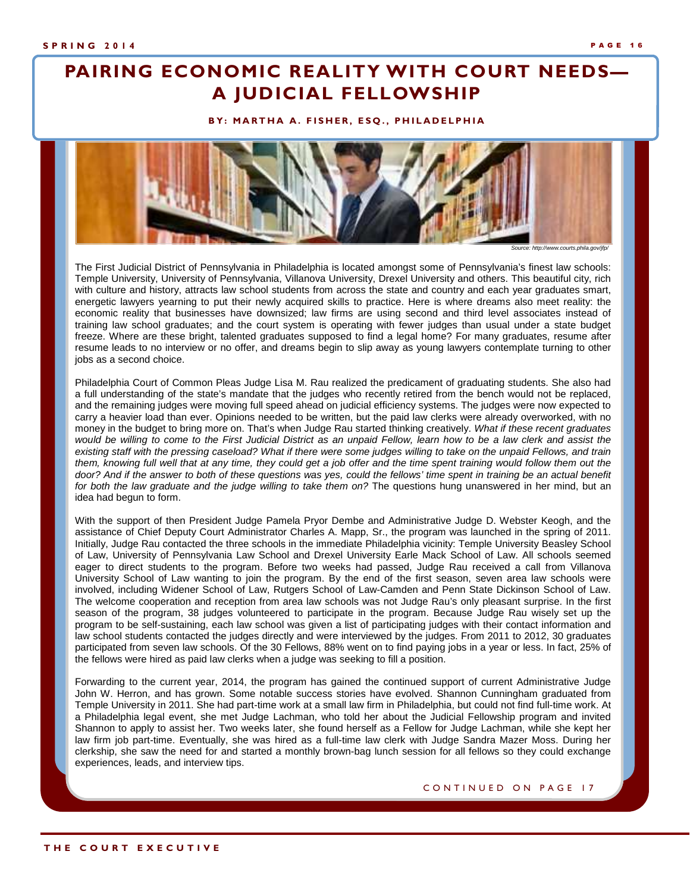## **PAIRING ECONOMIC REALITY WITH COURT NEEDS— A JUDICIAL FELLOWSHIP**

## **BY: MARTHA A. FISHER, ESQ., PHILADELPHIA**



e: http://www.courts.phila.gov/i

The First Judicial District of Pennsylvania in Philadelphia is located amongst some of Pennsylvania's finest law schools: Temple University, University of Pennsylvania, Villanova University, Drexel University and others. This beautiful city, rich with culture and history, attracts law school students from across the state and country and each year graduates smart, energetic lawyers yearning to put their newly acquired skills to practice. Here is where dreams also meet reality: the economic reality that businesses have downsized; law firms are using second and third level associates instead of training law school graduates; and the court system is operating with fewer judges than usual under a state budget freeze. Where are these bright, talented graduates supposed to find a legal home? For many graduates, resume after resume leads to no interview or no offer, and dreams begin to slip away as young lawyers contemplate turning to other jobs as a second choice.

Philadelphia Court of Common Pleas Judge Lisa M. Rau realized the predicament of graduating students. She also had a full understanding of the state's mandate that the judges who recently retired from the bench would not be replaced, and the remaining judges were moving full speed ahead on judicial efficiency systems. The judges were now expected to carry a heavier load than ever. Opinions needed to be written, but the paid law clerks were already overworked, with no money in the budget to bring more on. That's when Judge Rau started thinking creatively. What if these recent graduates would be willing to come to the First Judicial District as an unpaid Fellow, learn how to be a law clerk and assist the existing staff with the pressing caseload? What if there were some judges willing to take on the unpaid Fellows, and train them, knowing full well that at any time, they could get a job offer and the time spent training would follow them out the door? And if the answer to both of these questions was yes, could the fellows' time spent in training be an actual benefit for both the law graduate and the judge willing to take them on? The questions hung unanswered in her mind, but an idea had begun to form.

With the support of then President Judge Pamela Pryor Dembe and Administrative Judge D. Webster Keogh, and the assistance of Chief Deputy Court Administrator Charles A. Mapp, Sr., the program was launched in the spring of 2011. Initially, Judge Rau contacted the three schools in the immediate Philadelphia vicinity: Temple University Beasley School of Law, University of Pennsylvania Law School and Drexel University Earle Mack School of Law. All schools seemed eager to direct students to the program. Before two weeks had passed, Judge Rau received a call from Villanova University School of Law wanting to join the program. By the end of the first season, seven area law schools were involved, including Widener School of Law, Rutgers School of Law-Camden and Penn State Dickinson School of Law. The welcome cooperation and reception from area law schools was not Judge Rau's only pleasant surprise. In the first season of the program, 38 judges volunteered to participate in the program. Because Judge Rau wisely set up the program to be self-sustaining, each law school was given a list of participating judges with their contact information and law school students contacted the judges directly and were interviewed by the judges. From 2011 to 2012, 30 graduates participated from seven law schools. Of the 30 Fellows, 88% went on to find paying jobs in a year or less. In fact, 25% of the fellows were hired as paid law clerks when a judge was seeking to fill a position.

Forwarding to the current year, 2014, the program has gained the continued support of current Administrative Judge John W. Herron, and has grown. Some notable success stories have evolved. Shannon Cunningham graduated from Temple University in 2011. She had part-time work at a small law firm in Philadelphia, but could not find full-time work. At a Philadelphia legal event, she met Judge Lachman, who told her about the Judicial Fellowship program and invited Shannon to apply to assist her. Two weeks later, she found herself as a Fellow for Judge Lachman, while she kept her law firm job part-time. Eventually, she was hired as a full-time law clerk with Judge Sandra Mazer Moss. During her clerkship, she saw the need for and started a monthly brown-bag lunch session for all fellows so they could exchange experiences, leads, and interview tips.

CONTINUED ON PAGE 17